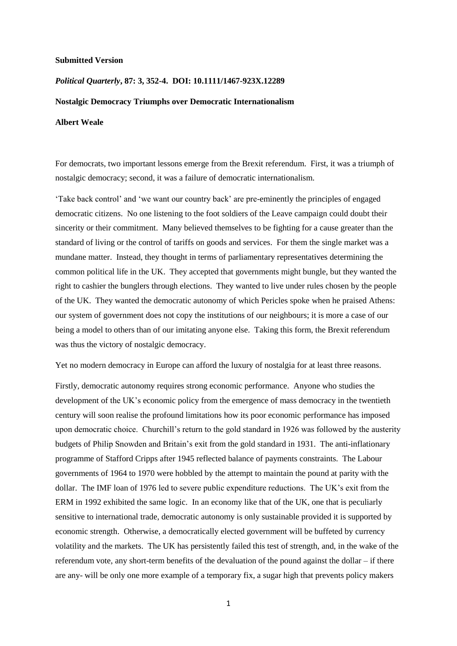#### **Submitted Version**

## *Political Quarterly***, 87: 3, 352-4. DOI: 10.1111/1467-923X.12289**

### **Nostalgic Democracy Triumphs over Democratic Internationalism**

## **Albert Weale**

For democrats, two important lessons emerge from the Brexit referendum. First, it was a triumph of nostalgic democracy; second, it was a failure of democratic internationalism.

'Take back control' and 'we want our country back' are pre-eminently the principles of engaged democratic citizens. No one listening to the foot soldiers of the Leave campaign could doubt their sincerity or their commitment. Many believed themselves to be fighting for a cause greater than the standard of living or the control of tariffs on goods and services. For them the single market was a mundane matter. Instead, they thought in terms of parliamentary representatives determining the common political life in the UK. They accepted that governments might bungle, but they wanted the right to cashier the bunglers through elections. They wanted to live under rules chosen by the people of the UK. They wanted the democratic autonomy of which Pericles spoke when he praised Athens: our system of government does not copy the institutions of our neighbours; it is more a case of our being a model to others than of our imitating anyone else. Taking this form, the Brexit referendum was thus the victory of nostalgic democracy.

Yet no modern democracy in Europe can afford the luxury of nostalgia for at least three reasons.

Firstly, democratic autonomy requires strong economic performance. Anyone who studies the development of the UK's economic policy from the emergence of mass democracy in the twentieth century will soon realise the profound limitations how its poor economic performance has imposed upon democratic choice. Churchill's return to the gold standard in 1926 was followed by the austerity budgets of Philip Snowden and Britain's exit from the gold standard in 1931. The anti-inflationary programme of Stafford Cripps after 1945 reflected balance of payments constraints. The Labour governments of 1964 to 1970 were hobbled by the attempt to maintain the pound at parity with the dollar. The IMF loan of 1976 led to severe public expenditure reductions. The UK's exit from the ERM in 1992 exhibited the same logic. In an economy like that of the UK, one that is peculiarly sensitive to international trade, democratic autonomy is only sustainable provided it is supported by economic strength. Otherwise, a democratically elected government will be buffeted by currency volatility and the markets. The UK has persistently failed this test of strength, and, in the wake of the referendum vote, any short-term benefits of the devaluation of the pound against the dollar – if there are any- will be only one more example of a temporary fix, a sugar high that prevents policy makers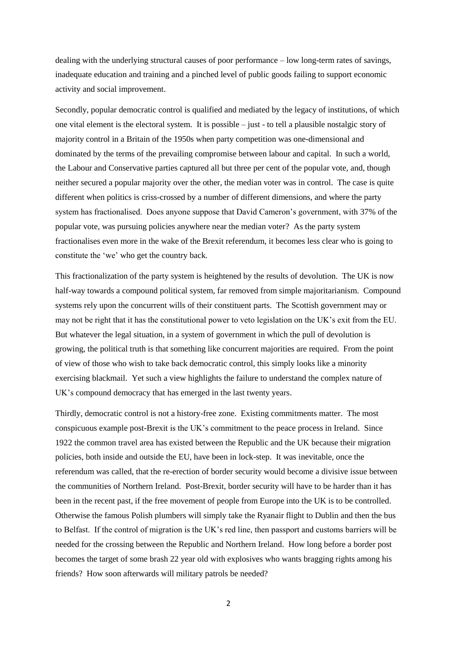dealing with the underlying structural causes of poor performance – low long-term rates of savings, inadequate education and training and a pinched level of public goods failing to support economic activity and social improvement.

Secondly, popular democratic control is qualified and mediated by the legacy of institutions, of which one vital element is the electoral system. It is possible – just - to tell a plausible nostalgic story of majority control in a Britain of the 1950s when party competition was one-dimensional and dominated by the terms of the prevailing compromise between labour and capital. In such a world, the Labour and Conservative parties captured all but three per cent of the popular vote, and, though neither secured a popular majority over the other, the median voter was in control. The case is quite different when politics is criss-crossed by a number of different dimensions, and where the party system has fractionalised. Does anyone suppose that David Cameron's government, with 37% of the popular vote, was pursuing policies anywhere near the median voter? As the party system fractionalises even more in the wake of the Brexit referendum, it becomes less clear who is going to constitute the 'we' who get the country back.

This fractionalization of the party system is heightened by the results of devolution. The UK is now half-way towards a compound political system, far removed from simple majoritarianism. Compound systems rely upon the concurrent wills of their constituent parts. The Scottish government may or may not be right that it has the constitutional power to veto legislation on the UK's exit from the EU. But whatever the legal situation, in a system of government in which the pull of devolution is growing, the political truth is that something like concurrent majorities are required. From the point of view of those who wish to take back democratic control, this simply looks like a minority exercising blackmail. Yet such a view highlights the failure to understand the complex nature of UK's compound democracy that has emerged in the last twenty years.

Thirdly, democratic control is not a history-free zone. Existing commitments matter. The most conspicuous example post-Brexit is the UK's commitment to the peace process in Ireland. Since 1922 the common travel area has existed between the Republic and the UK because their migration policies, both inside and outside the EU, have been in lock-step. It was inevitable, once the referendum was called, that the re-erection of border security would become a divisive issue between the communities of Northern Ireland. Post-Brexit, border security will have to be harder than it has been in the recent past, if the free movement of people from Europe into the UK is to be controlled. Otherwise the famous Polish plumbers will simply take the Ryanair flight to Dublin and then the bus to Belfast. If the control of migration is the UK's red line, then passport and customs barriers will be needed for the crossing between the Republic and Northern Ireland. How long before a border post becomes the target of some brash 22 year old with explosives who wants bragging rights among his friends? How soon afterwards will military patrols be needed?

2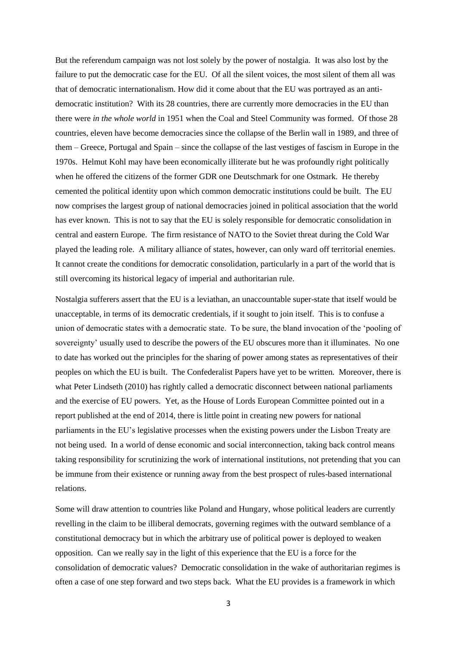But the referendum campaign was not lost solely by the power of nostalgia. It was also lost by the failure to put the democratic case for the EU. Of all the silent voices, the most silent of them all was that of democratic internationalism. How did it come about that the EU was portrayed as an antidemocratic institution? With its 28 countries, there are currently more democracies in the EU than there were *in the whole world* in 1951 when the Coal and Steel Community was formed. Of those 28 countries, eleven have become democracies since the collapse of the Berlin wall in 1989, and three of them – Greece, Portugal and Spain – since the collapse of the last vestiges of fascism in Europe in the 1970s. Helmut Kohl may have been economically illiterate but he was profoundly right politically when he offered the citizens of the former GDR one Deutschmark for one Ostmark. He thereby cemented the political identity upon which common democratic institutions could be built. The EU now comprises the largest group of national democracies joined in political association that the world has ever known. This is not to say that the EU is solely responsible for democratic consolidation in central and eastern Europe. The firm resistance of NATO to the Soviet threat during the Cold War played the leading role. A military alliance of states, however, can only ward off territorial enemies. It cannot create the conditions for democratic consolidation, particularly in a part of the world that is still overcoming its historical legacy of imperial and authoritarian rule.

Nostalgia sufferers assert that the EU is a leviathan, an unaccountable super-state that itself would be unacceptable, in terms of its democratic credentials, if it sought to join itself. This is to confuse a union of democratic states with a democratic state. To be sure, the bland invocation of the 'pooling of sovereignty' usually used to describe the powers of the EU obscures more than it illuminates. No one to date has worked out the principles for the sharing of power among states as representatives of their peoples on which the EU is built. The Confederalist Papers have yet to be written. Moreover, there is what Peter Lindseth (2010) has rightly called a democratic disconnect between national parliaments and the exercise of EU powers. Yet, as the House of Lords European Committee pointed out in a report published at the end of 2014, there is little point in creating new powers for national parliaments in the EU's legislative processes when the existing powers under the Lisbon Treaty are not being used. In a world of dense economic and social interconnection, taking back control means taking responsibility for scrutinizing the work of international institutions, not pretending that you can be immune from their existence or running away from the best prospect of rules-based international relations.

Some will draw attention to countries like Poland and Hungary, whose political leaders are currently revelling in the claim to be illiberal democrats, governing regimes with the outward semblance of a constitutional democracy but in which the arbitrary use of political power is deployed to weaken opposition. Can we really say in the light of this experience that the EU is a force for the consolidation of democratic values? Democratic consolidation in the wake of authoritarian regimes is often a case of one step forward and two steps back. What the EU provides is a framework in which

3